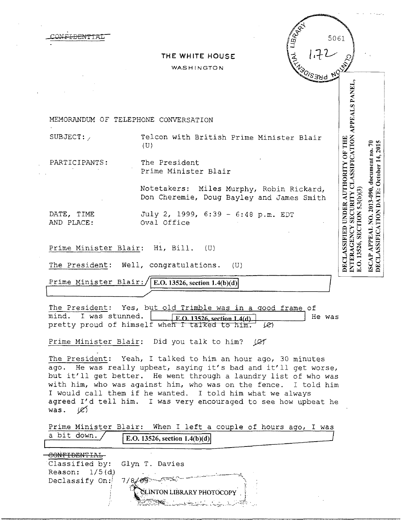|                          | THE WHITE HOUSE<br>WASHINGTON                                                                                                                                        |                                                                                                          |
|--------------------------|----------------------------------------------------------------------------------------------------------------------------------------------------------------------|----------------------------------------------------------------------------------------------------------|
|                          |                                                                                                                                                                      |                                                                                                          |
|                          |                                                                                                                                                                      | APPEALS PANEL.                                                                                           |
|                          | MEMORANDUM OF TELEPHONE CONVERSATION                                                                                                                                 |                                                                                                          |
| SUBJECT:                 | Telcon with British Prime Minister Blair<br>(U)                                                                                                                      |                                                                                                          |
| PARTICIPANTS:            | The President<br>Prime Minister Blair                                                                                                                                |                                                                                                          |
|                          | Notetakers: Miles Murphy, Robin Rickard,<br>Don Cheremie, Doug Bayley and James Smith                                                                                | 5.3 (b) (3)                                                                                              |
| DATE, TIME<br>AND PLACE: | July 2, 1999, 6:39 - 6:48 p.m. EDT<br>Oval Office                                                                                                                    | INTERAGENCY SECURITY CLASSIFICATION<br><b>DECLASSIFIED UNDER AUTHORITY OF THE</b><br>E.O. 13526, SECTION |
| Prime Minister Blair:    | Hi, Bill.<br>(U)                                                                                                                                                     |                                                                                                          |
|                          | The President: Well, congratulations.<br>(U)                                                                                                                         |                                                                                                          |
| Prime Minister Blair:,   | E.O. 13526, section $1.4(b)(d)$                                                                                                                                      |                                                                                                          |
| mind. I was stunned.     | The President: Yes, but old Trimble was in a good frame of<br>He was<br>F.O. 13526, section 1.4(d)<br>pretty proud of himself when I talked to him.<br>$\mathscr{L}$ |                                                                                                          |

ago. He was really upbeat, saying it's bad and it'll get worse, but it'll get better. He went through a laundry list of who was with him, who was against him, who was on the fence. I told him I would call them if he wanted. I told him what we always agreed I'd tell him. I was very encouraged to see how upbeat he was.  $\cancel{\mathscr{L}}$ 

Prime Minister Blair: When I left a couple of hours ago, I was a bit down.  $\sqrt{\frac{\mathbf{F} \cdot \mathbf{O} \cdot 13526 \cdot \text{section} \cdot 1.4(\mathbf{b})(\mathbf{d})}{\mathbf{F} \cdot \mathbf{O} \cdot 13526 \cdot \text{section} \cdot 1.4(\mathbf{b})(\mathbf{d})}}}$ 

|                               | E.U. 15520, Section 1.4(D)(0)]   |  |
|-------------------------------|----------------------------------|--|
| $C\cap N$                     |                                  |  |
| Classified by: Glyn T. Davies |                                  |  |
| Reason: $1/5(d)$              |                                  |  |
| Declassify On:                | 7/8/69                           |  |
|                               | <b>CEINTON LIBRARY PHOTOCOPY</b> |  |
|                               | <b>RESERVENCE LARANTER</b>       |  |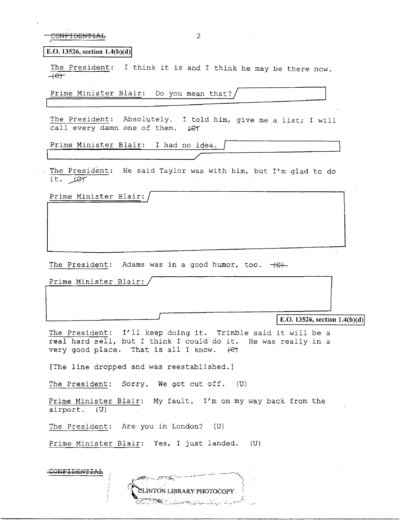CONFIDENTIAL: 2

**E.O.** 13526, section  $1.4(b)(d)$ 

The President: I think it is and I think he may be there now.  $+e$ 

Prime Minister Blair: Do you mean that?/

The President: Absolutely. I told him, give me a list; I will call every damn one of them.  $\mathcal{L}$ 

Prime Minister Blair: I had no idea.

'--~~~~~~~~~~~~~~~/

The President: He said Taylor was with him, but I'm glad to do it.  $100$ 

Prime Minister Blair:

The President: Adams was in a good humor, too.  $+ \epsilon$ .

Prime Minister Blair:

**E.O. 13526, section 1.4(b)(d)** 

The President: I'll keep doing it. Trimble said it will be a real hard sell, but I think I could do it. He was really in a very good place. That is all I know.  $\theta$ 

[The line dropped and was reestablished.]

The President: Sorry. We got cut off. (U)

Prime Minister Blair: My fault. I'm on my way back from the airport. (U)

> CLINTON LIBRARY PHOTOCOPY TSKI výsenku (Augustus 1996)

The President: Are you in London? (U)

Prime Minister Blair: Yes, I just landed. (U)

CONFIDENTIAL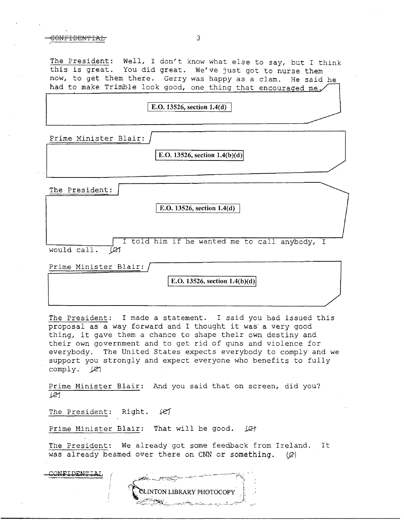## CONFIDEN'PIAL 3

The President: Well, I don't know what else to say, but I think this is great. You did great. We've just got to nurse them now, to get them there. Gerry was happy as a clam. He said he had to make Trimble look good, one thing that encouraged me.

## **E.O. 13526, section 1.4(d)**

Prime Minister Blair:

E.O. 13526, section  $1.4(b)(d)$ 

The President:

E.O. 13526, section 1.4(d)

I told him if he wanted me to call anybody, I would call. [21

Prime Minister Blair:

E.O. 13526, section  $1.4(b)(d)$ 

The President: I made a statement. I said you had issued this proposal as a way forward and I thought it was a very good thing, it gave them a chance to shape their own destiny and their own government and to get rid of guns and violence for everybody. The United States expects everybody to comply and we support you strongly and expect everyone who benefits to fully comply.  $|R\rangle$ 

Prime Minister Blair: And you said that on screen, did you? *JR!* 

The President: Right.  $\ell$ e)

Prime Minister Blair: That will be good. (C)

The President: We already got some feedback from Ireland. It was already beamed over there on CNN or something.  $\langle \mathcal{Q} \rangle$